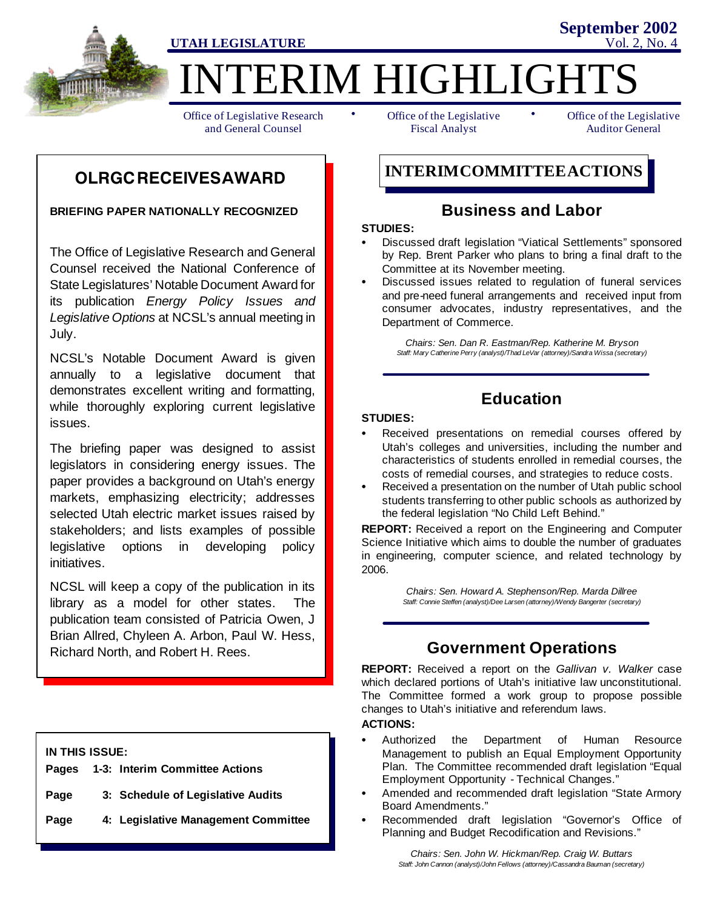

ERIM HIGHLIGHT

Office of Legislative Research and General Counsel

• Office of the Legislative • Fiscal Analyst

Office of the Legislative Auditor General

**September 2002**

# **OLRGCRECEIVESAWARD**

**BRIEFING PAPER NATIONALLY RECOGNIZED**

The Office of Legislative Research and General Counsel received the National Conference of State Legislatures' Notable Document Award for its publication *Energy Policy Issues and Legislative Options* at NCSL's annual meeting in July.

NCSL's Notable Document Award is given annually to a legislative document that demonstrates excellent writing and formatting, while thoroughly exploring current legislative issues.

The briefing paper was designed to assist legislators in considering energy issues. The paper provides a background on Utah's energy markets, emphasizing electricity; addresses selected Utah electric market issues raised by stakeholders; and lists examples of possible legislative options in developing policy initiatives.

NCSL will keep a copy of the publication in its library as a model for other states. The publication team consisted of Patricia Owen, J Brian Allred, Chyleen A. Arbon, Paul W. Hess, Richard North, and Robert H. Rees.

**IN THIS ISSUE:**

|      | Pages 1-3: Interim Committee Actions |
|------|--------------------------------------|
| Page | 3: Schedule of Legislative Audits    |

**Page 4: Legislative Management Committee**

**INTERIMCOMMITTEEACTIONS**

## **Business and Labor**

### **STUDIES:**

- Discussed draft legislation "Viatical Settlements" sponsored by Rep. Brent Parker who plans to bring a final draft to the Committee at its November meeting.
- Discussed issues related to regulation of funeral services and pre-need funeral arrangements and received input from consumer advocates, industry representatives, and the Department of Commerce.

*Chairs: Sen. Dan R. Eastman/Rep. Katherine M. Bryson Staff: Mary Catherine Perry (analyst)/Thad LeVar (attorney)/Sandra Wissa (secretary)*

# **Education**

### **STUDIES:**

- Received presentations on remedial courses offered by Utah's colleges and universities, including the number and characteristics of students enrolled in remedial courses, the costs of remedial courses, and strategies to reduce costs.
- Received a presentation on the number of Utah public school students transferring to other public schools as authorized by the federal legislation "No Child Left Behind."

**REPORT:** Received a report on the Engineering and Computer Science Initiative which aims to double the number of graduates in engineering, computer science, and related technology by 2006.

> *Chairs: Sen. Howard A. Stephenson/Rep. Marda Dillree Staff: Connie Steffen (analyst)/Dee Larsen (attorney)/Wendy Bangerter (secretary)*

# **Government Operations**

**REPORT:** Received a report on the *Gallivan v. Walker* case which declared portions of Utah's initiative law unconstitutional. The Committee formed a work group to propose possible changes to Utah's initiative and referendum laws.

### **ACTIONS:**

- Authorized the Department of Human Resource Management to publish an Equal Employment Opportunity Plan. The Committee recommended draft legislation "Equal Employment Opportunity - Technical Changes."
- Amended and recommended draft legislation "State Armory Board Amendments."
- Recommended draft legislation "Governor's Office of Planning and Budget Recodification and Revisions."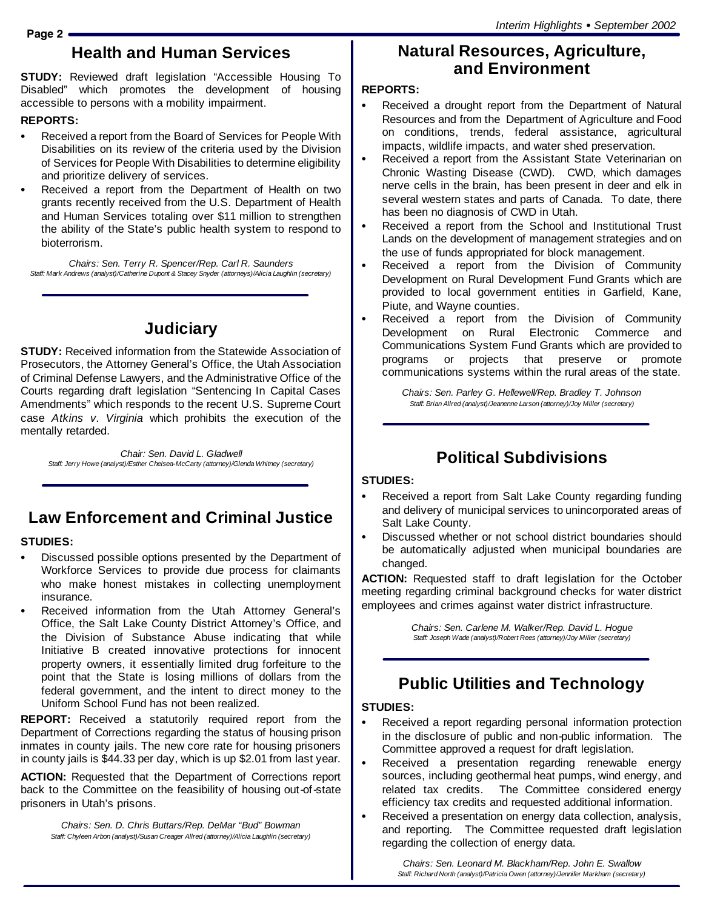# **Health and Human Services**

**STUDY:** Reviewed draft legislation "Accessible Housing To Disabled" which promotes the development of housing accessible to persons with a mobility impairment.

### **REPORTS:**

- Received a report from the Board of Services for People With Disabilities on its review of the criteria used by the Division of Services for People With Disabilities to determine eligibility and prioritize delivery of services.
- Received a report from the Department of Health on two grants recently received from the U.S. Department of Health and Human Services totaling over \$11 million to strengthen the ability of the State's public health system to respond to bioterrorism.

*Chairs: Sen. Terry R. Spencer/Rep. Carl R. Saunders Staff: Mark Andrews (analyst)/Catherine Dupont & Stacey Snyder (attorneys)/Alicia Laughlin (secretary)*

# **Judiciary**

**STUDY:** Received information from the Statewide Association of Prosecutors, the Attorney General's Office, the Utah Association of Criminal Defense Lawyers, and the Administrative Office of the Courts regarding draft legislation "Sentencing In Capital Cases Amendments" which responds to the recent U.S. Supreme Court case *Atkins v. Virginia* which prohibits the execution of the mentally retarded.

*Chair: Sen. David L. Gladwell Staff: Jerry Howe (analyst)/Esther Chelsea-McCarty (attorney)/Glenda Whitney (secretary)*

## **Law Enforcement and Criminal Justice**

#### **STUDIES:**

- Discussed possible options presented by the Department of Workforce Services to provide due process for claimants who make honest mistakes in collecting unemployment insurance.
- Received information from the Utah Attorney General's Office, the Salt Lake County District Attorney's Office, and the Division of Substance Abuse indicating that while Initiative B created innovative protections for innocent property owners, it essentially limited drug forfeiture to the point that the State is losing millions of dollars from the federal government, and the intent to direct money to the Uniform School Fund has not been realized.

**REPORT:** Received a statutorily required report from the Department of Corrections regarding the status of housing prison inmates in county jails. The new core rate for housing prisoners in county jails is \$44.33 per day, which is up \$2.01 from last year.

**ACTION:** Requested that the Department of Corrections report back to the Committee on the feasibility of housing out-of-state prisoners in Utah's prisons.

*Chairs: Sen. D. Chris Buttars/Rep. DeMar "Bud" Bowman Staff: Chyleen Arbon (analyst)/Susan Creager Allred (attorney)/Alicia Laughlin (secretary)*

## **Natural Resources, Agriculture, and Environment**

### **REPORTS:**

- Received a drought report from the Department of Natural Resources and from the Department of Agriculture and Food on conditions, trends, federal assistance, agricultural impacts, wildlife impacts, and water shed preservation.
- Received a report from the Assistant State Veterinarian on Chronic Wasting Disease (CWD). CWD, which damages nerve cells in the brain, has been present in deer and elk in several western states and parts of Canada. To date, there has been no diagnosis of CWD in Utah.
- Received a report from the School and Institutional Trust Lands on the development of management strategies and on the use of funds appropriated for block management.
- Received a report from the Division of Community Development on Rural Development Fund Grants which are provided to local government entities in Garfield, Kane, Piute, and Wayne counties.
- Received a report from the Division of Community Development on Rural Electronic Commerce and Communications System Fund Grants which are provided to programs or projects that preserve or promote communications systems within the rural areas of the state.

*Chairs: Sen. Parley G. Hellewell/Rep. Bradley T. Johnson Staff: Brian Allred (analyst)/Jeanenne Larson (attorney)/Joy Miller (secretary)*

## **Political Subdivisions**

### **STUDIES:**

- Received a report from Salt Lake County regarding funding and delivery of municipal services to unincorporated areas of Salt Lake County.
- Discussed whether or not school district boundaries should be automatically adjusted when municipal boundaries are changed.

**ACTION:** Requested staff to draft legislation for the October meeting regarding criminal background checks for water district employees and crimes against water district infrastructure.

> *Chairs: Sen. Carlene M. Walker/Rep. David L. Hogue Staff: Joseph Wade (analyst)/Robert Rees (attorney)/Joy Miller (secretary)*

## **Public Utilities and Technology**

### **STUDIES:**

- Received a report regarding personal information protection in the disclosure of public and non-public information. The Committee approved a request for draft legislation.
- Received a presentation regarding renewable energy sources, including geothermal heat pumps, wind energy, and related tax credits. The Committee considered energy efficiency tax credits and requested additional information.
- Received a presentation on energy data collection, analysis, and reporting. The Committee requested draft legislation regarding the collection of energy data.

*Chairs: Sen. Leonard M. Blackham/Rep. John E. Swallow Staff: Richard North (analyst)/Patricia Owen (attorney)/Jennifer Markham (secretary)*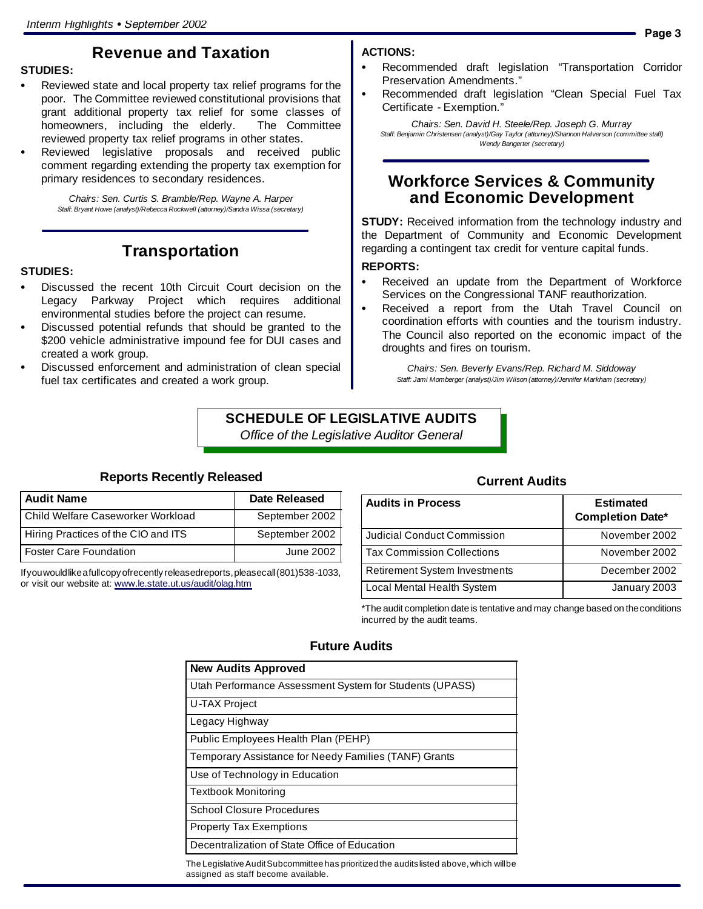## **Revenue and Taxation**

#### **STUDIES:**

- Reviewed state and local property tax relief programs for the poor. The Committee reviewed constitutional provisions that grant additional property tax relief for some classes of homeowners, including the elderly. The Committee reviewed property tax relief programs in other states.
- Reviewed legislative proposals and received public comment regarding extending the property tax exemption for primary residences to secondary residences.

*Chairs: Sen. Curtis S. Bramble/Rep. Wayne A. Harper Staff: Bryant Howe (analyst)/Rebecca Rockwell (attorney)/Sandra Wissa (secretary)*

## **Transportation**

#### **STUDIES:**

- Discussed the recent 10th Circuit Court decision on the Legacy Parkway Project which requires additional environmental studies before the project can resume.
- Discussed potential refunds that should be granted to the \$200 vehicle administrative impound fee for DUI cases and created a work group.
- Discussed enforcement and administration of clean special fuel tax certificates and created a work group.

### **ACTIONS:**

- Recommended draft legislation "Transportation Corridor Preservation Amendments."
- Recommended draft legislation "Clean Special Fuel Tax Certificate - Exemption."

*Chairs: Sen. David H. Steele/Rep. Joseph G. Murray Staff: Benjamin Christensen (analyst)/Gay Taylor (attorney)/Shannon Halverson (committee staff) Wendy Bangerter (secretary)*

## **Workforce Services & Community and Economic Development**

**STUDY:** Received information from the technology industry and the Department of Community and Economic Development regarding a contingent tax credit for venture capital funds.

#### **REPORTS:**

- Received an update from the Department of Workforce Services on the Congressional TANF reauthorization.
- Received a report from the Utah Travel Council on coordination efforts with counties and the tourism industry. The Council also reported on the economic impact of the droughts and fires on tourism.

*Chairs: Sen. Beverly Evans/Rep. Richard M. Siddoway Staff: Jami Momberger (analyst)/Jim Wilson (attorney)/Jennifer Markham (secretary)*

## **SCHEDULE OF LEGISLATIVE AUDITS** *Office of the Legislative Auditor General*

## **Reports Recently Released**

| <b>Audit Name</b>                   | <b>Date Released</b> |
|-------------------------------------|----------------------|
| l Child Welfare Caseworker Workload | September 2002       |
| Hiring Practices of the CIO and ITS | September 2002       |
| <b>Foster Care Foundation</b>       | June 2002            |

If you would like a full copy of recently released reports, pleasecall (801) 538-1033, or visit our website at: www.le.state.ut.us/audit/olag.htm

### **Current Audits**

| <b>Audits in Process</b>             | <b>Estimated</b><br><b>Completion Date*</b> |
|--------------------------------------|---------------------------------------------|
| <b>Judicial Conduct Commission</b>   | November 2002                               |
| <b>Tax Commission Collections</b>    | November 2002                               |
| <b>Retirement System Investments</b> | December 2002                               |
| Local Mental Health System           | January 2003                                |

\*The audit completion date is tentative and may change based on theconditions incurred by the audit teams.

## **Future Audits**

| <b>New Audits Approved</b>                                                                |
|-------------------------------------------------------------------------------------------|
| Utah Performance Assessment System for Students (UPASS)                                   |
| U-TAX Project                                                                             |
| Legacy Highway                                                                            |
| Public Employees Health Plan (PEHP)                                                       |
| Temporary Assistance for Needy Families (TANF) Grants                                     |
| Use of Technology in Education                                                            |
| <b>Textbook Monitoring</b>                                                                |
| <b>School Closure Procedures</b>                                                          |
| <b>Property Tax Exemptions</b>                                                            |
| Decentralization of State Office of Education                                             |
| The Legislative Audit Subcommittee has prioritized the audits listed above, which will be |

The Legislative Audit Subcommittee has prioritized the audits listed above, which will be assigned as staff become available.